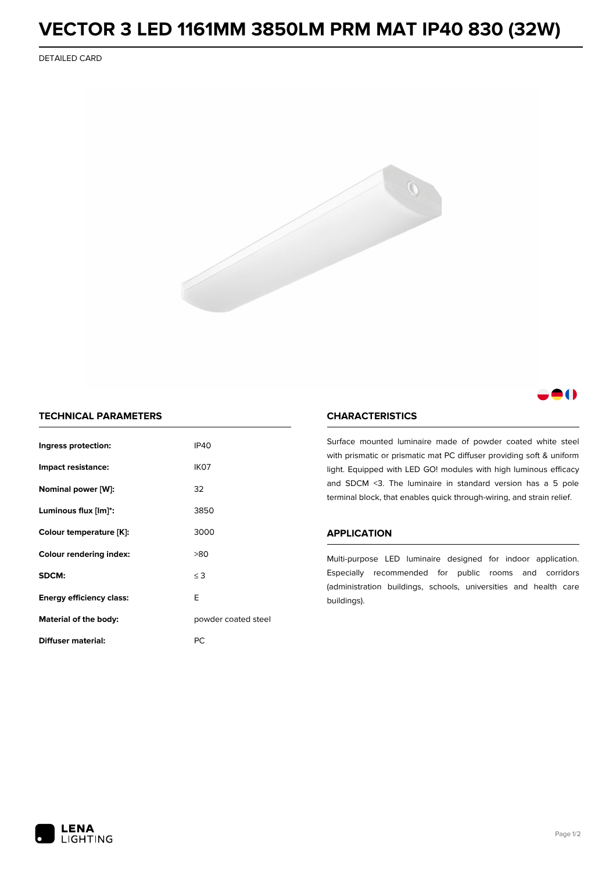# **VECTOR 3 LED 1161MM 3850LM PRM MAT IP40 830 (32W)**

DETAILED CARD





## **TECHNICAL PARAMETERS**

| Ingress protection:             | <b>IP40</b>         |  |
|---------------------------------|---------------------|--|
| Impact resistance:              | IK <sub>07</sub>    |  |
| Nominal power [W]:              | 32                  |  |
| Luminous flux [lm]*:            | 3850                |  |
| Colour temperature [K]:         | 3000                |  |
| <b>Colour rendering index:</b>  | >80                 |  |
| SDCM:                           | $\leq$ 3            |  |
| <b>Energy efficiency class:</b> | E                   |  |
| Material of the body:           | powder coated steel |  |
| Diffuser material:              | РC                  |  |

## **CHARACTERISTICS**

Surface mounted luminaire made of powder coated white steel with prismatic or prismatic mat PC diffuser providing soft & uniform light. Equipped with LED GO! modules with high luminous efficacy and SDCM <3. The luminaire in standard version has a 5 pole terminal block, that enables quick through-wiring, and strain relief.

#### **APPLICATION**

Multi-purpose LED luminaire designed for indoor application. Especially recommended for public rooms and corridors (administration buildings, schools, universities and health care buildings).